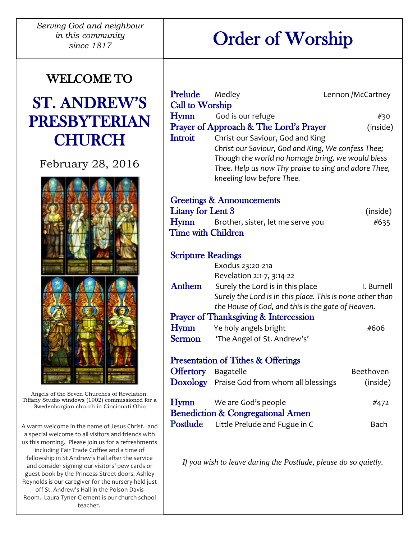*Serving God and neighbour in this community since 1817*

## Order of Worship

# WELCOME TO

### ST. ANDREW'S PRESBYTERIAN **CHURCH**

February 28, 2016



Angels of the Seven Churches of Revelation. Tiffany Studio windows (1902) commissioned for a Swedenborgian church in Cincinnati Ohio

A warm welcome in the name of Jesus Christ. and a special welcome to all visitors and friends with us this morning. Please join us for a refreshments including Fair Trade Coffee and a time of fellowship in St Andrew's Hall after the service and consider signing our visitors' pew cards or guest book by the Princess Street doors. Ashley Reynolds is our caregiver for the nursery held just off St. Andrew's Hall in the Polson Davis Room. Laura Tyner-Clement is our church school teacher.

| Prelude                                                         | Medley                                                        | Lennon /McCartney |
|-----------------------------------------------------------------|---------------------------------------------------------------|-------------------|
| Call to Worship                                                 |                                                               |                   |
| Hymn                                                            | God is our refuge                                             | #30               |
|                                                                 | Prayer of Approach & The Lord's Prayer                        | (inside)          |
| Introit                                                         | Christ our Saviour, God and King                              |                   |
|                                                                 | Christ our Saviour, God and King, We confess Thee;            |                   |
|                                                                 | Though the world no homage bring, we would bless              |                   |
|                                                                 | Thee. Help us now Thy praise to sing and adore Thee,          |                   |
|                                                                 | kneeling low before Thee.                                     |                   |
| <b>Greetings &amp; Announcements</b>                            |                                                               |                   |
| Litany for Lent 3                                               |                                                               | (inside)          |
| <b>Hymn</b>                                                     | Brother, sister, let me serve you                             | #635              |
| <b>Time with Children</b>                                       |                                                               |                   |
|                                                                 |                                                               |                   |
| <b>Scripture Readings</b>                                       |                                                               |                   |
|                                                                 | Exodus 23:20-21a                                              |                   |
| Anthem                                                          | Revelation 2:1-7, 3:14-22<br>Surely the Lord is in this place | I. Burnell        |
|                                                                 | Surely the Lord is in this place. This is none other than     |                   |
|                                                                 | the House of God, and this is the gate of Heaven.             |                   |
| <b>Prayer of Thanksgiving &amp; Intercession</b>                |                                                               |                   |
| <b>Hymn</b>                                                     | Ye holy angels bright                                         | #606              |
| <b>Sermon</b>                                                   | 'The Angel of St. Andrew's'                                   |                   |
|                                                                 |                                                               |                   |
| <b>Presentation of Tithes &amp; Offerings</b>                   |                                                               |                   |
| <b>Offertory</b> Bagatelle                                      |                                                               | Beethoven         |
|                                                                 | Doxology Praise God from whom all blessings                   | (inside)          |
| Hymn                                                            | We are God's people                                           | #472              |
| <b>Benediction &amp; Congregational Amen</b>                    |                                                               |                   |
| <b>Postlude</b>                                                 | Little Prelude and Fugue in C                                 | Bach              |
|                                                                 |                                                               |                   |
|                                                                 |                                                               |                   |
| If you wish to leave during the Postlude, please do so quietly. |                                                               |                   |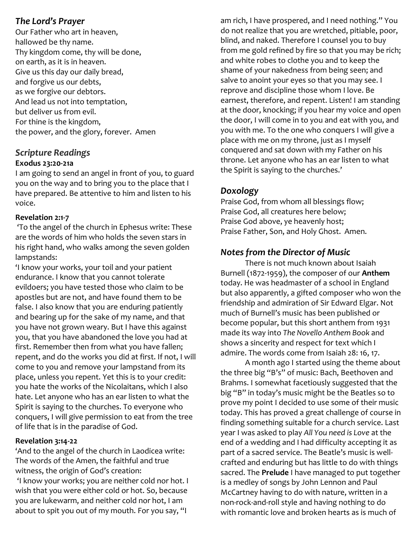#### *The Lord's Prayer*

Our Father who art in heaven, hallowed be thy name. Thy kingdom come, thy will be done, on earth, as it is in heaven. Give us this day our daily bread, and forgive us our debts, as we forgive our debtors. And lead us not into temptation, but deliver us from evil. For thine is the kingdom, the power, and the glory, forever. Amen

#### *Scripture Readings* **Exodus 23:20-21a**

I am going to send an angel in front of you, to guard you on the way and to bring you to the place that I have prepared. Be attentive to him and listen to his voice.

#### **Revelation 2:1-7**

'To the angel of the church in Ephesus write: These are the words of him who holds the seven stars in his right hand, who walks among the seven golden lampstands:

'I know your works, your toil and your patient endurance. I know that you cannot tolerate evildoers; you have tested those who claim to be apostles but are not, and have found them to be false. I also know that you are enduring patiently and bearing up for the sake of my name, and that you have not grown weary. But I have this against you, that you have abandoned the love you had at first. Remember then from what you have fallen; repent, and do the works you did at first. If not, I will come to you and remove your lampstand from its place, unless you repent. Yet this is to your credit: you hate the works of the Nicolaitans, which I also hate. Let anyone who has an ear listen to what the Spirit is saying to the churches. To everyone who conquers, I will give permission to eat from the tree of life that is in the paradise of God.

#### **Revelation 3:14-22**

'And to the angel of the church in Laodicea write: The words of the Amen, the faithful and true witness, the origin of God's creation: 'I know your works; you are neither cold nor hot. I wish that you were either cold or hot. So, because you are lukewarm, and neither cold nor hot, I am about to spit you out of my mouth. For you say, "I

am rich, I have prospered, and I need nothing." You do not realize that you are wretched, pitiable, poor, blind, and naked. Therefore I counsel you to buy from me gold refined by fire so that you may be rich; and white robes to clothe you and to keep the shame of your nakedness from being seen; and salve to anoint your eyes so that you may see. I reprove and discipline those whom I love. Be earnest, therefore, and repent. Listen! I am standing at the door, knocking; if you hear my voice and open the door, I will come in to you and eat with you, and you with me. To the one who conquers I will give a place with me on my throne, just as I myself conquered and sat down with my Father on his throne. Let anyone who has an ear listen to what the Spirit is saying to the churches.'

#### *Doxology*

Praise God, from whom all blessings flow; Praise God, all creatures here below; Praise God above, ye heavenly host; Praise Father, Son, and Holy Ghost. Amen.

#### *Notes from the Director of Music*

There is not much known about Isaiah Burnell (1872-1959), the composer of our **Anthem** today. He was headmaster of a school in England but also apparently, a gifted composer who won the friendship and admiration of Sir Edward Elgar. Not much of Burnell's music has been published or become popular, but this short anthem from 1931 made its way into *The Novello Anthem Book* and shows a sincerity and respect for text which I admire. The words come from Isaiah 28: 16, 17.

A month ago I started using the theme about the three big "B's" of music: Bach, Beethoven and Brahms. I somewhat facetiously suggested that the big "B" in today's music might be the Beatles so to prove my point I decided to use some of their music today. This has proved a great challenge of course in finding something suitable for a church service. Last year I was asked to play *All You need is Love* at the end of a wedding and I had difficulty accepting it as part of a sacred service. The Beatle's music is wellcrafted and enduring but has little to do with things sacred. The **Prelude** I have managed to put together is a medley of songs by John Lennon and Paul McCartney having to do with nature, written in a non-rock-and-roll style and having nothing to do with romantic love and broken hearts as is much of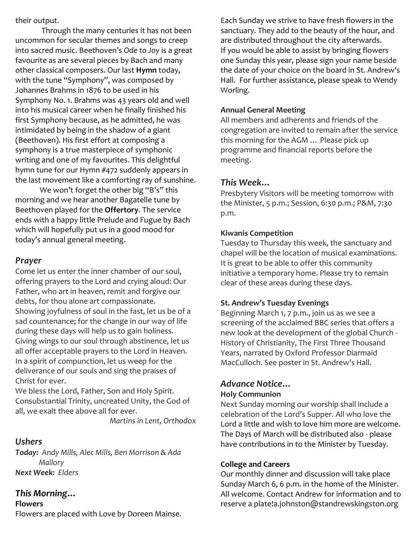their output.

Through the many centuries it has not been uncommon for secular themes and songs to creep into sacred music. Beethoven's *Ode to Joy* is a great favourite as are several pieces by Bach and many other classical composers. Our last **Hymn** today, with the tune "Symphony", was composed by Johannes Brahms in 1876 to be used in his Symphony No. 1. Brahms was 43 years old and well into his musical career when he finally finished his first Symphony because, as he admitted, he was intimidated by being in the shadow of a giant (Beethoven). His first effort at composing a symphony is a true masterpiece of symphonic writing and one of my favourites. This delightful hymn tune for our Hymn #472 suddenly appears in the last movement like a comforting ray of sunshine.

We won't forget the other big "B's" this morning and we hear another Bagatelle tune by Beethoven played for the **Offertory**. The service ends with a happy little Prelude and Fugue by Bach which will hopefully put us in a good mood for today's annual general meeting.

#### *Prayer*

Come let us enter the inner chamber of our soul, offering prayers to the Lord and crying aloud: Our Father, who art in heaven, remit and forgive our debts, for thou alone art compassionate. Showing joyfulness of soul in the fast, let us be of a sad countenance; for the change in our way of life during these days will help us to gain holiness. Giving wings to our soul through abstinence, let us all offer acceptable prayers to the Lord in Heaven. In a spirit of compunction, let us weep for the deliverance of our souls and sing the praises of Christ for ever.

We bless the Lord, Father, Son and Holy Spirit. Consubstantial Trinity, uncreated Unity, the God of all, we exalt thee above all for ever.

*Martins in Lent, Orthodox*

#### *Ushers*

*Today: Andy Mills, Alec Mills, Ben Morrison & Ada Mallory Next Week: Elders*

#### *This Morning…*

**Flowers**

Flowers are placed with Love by Doreen Mainse.

Each Sunday we strive to have fresh flowers in the sanctuary. They add to the beauty of the hour, and are distributed throughout the city afterwards. If you would be able to assist by bringing flowers one Sunday this year, please sign your name beside the date of your choice on the board in St. Andrew's Hall. For further assistance, please speak to Wendy Worling.

#### **Annual General Meeting**

All members and adherents and friends of the congregation are invited to remain after the service this morning for the AGM … Please pick up programme and financial reports before the meeting.

#### *This Week…*

Presbytery Visitors will be meeting tomorrow with the Minister, 5 p.m.; Session, 6:30 p.m.; P&M, 7:30 p.m.

#### **Kiwanis Competition**

Tuesday to Thursday this week, the sanctuary and chapel will be the location of musical examinations. It is great to be able to offer this community initiative a temporary home. Please try to remain clear of these areas during these days.

#### **St. Andrew's Tuesday Evenings**

Beginning March 1, 7 p.m., join us as we see a screening of the acclaimed BBC series that offers a new look at the development of the global Church - History of Christianity, The First Three Thousand Years, narrated by Oxford Professor Diarmaid MacCulloch. See poster in St. Andrew's Hall.

#### *Advance Notice…*

#### **Holy Communion**

Next Sunday morning our worship shall include a celebration of the Lord's Supper. All who love the Lord a little and wish to love him more are welcome. The Days of March will be distributed also - please have contributions in to the Minister by Tuesday.

#### **College and Careers**

Our monthly dinner and discussion will take place Sunday March 6, 6 p.m. in the home of the Minister. All welcome. Contact Andrew for information and to reserve a plate[!a.johnston@standrewskingston.org](mailto:a.johnston@standrewskingston.org)